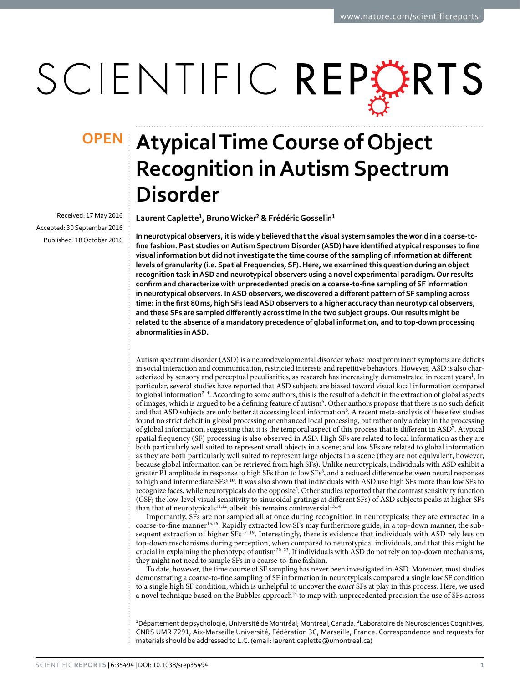# SCIENTIFIC REPERTS

Received: 17 May 2016 accepted: 30 September 2016 Published: 18 October 2016

## **Atypical Time Course of Object OPENRecognition in Autism Spectrum Disorder**

**LaurentCaplette<sup>1</sup>, BrunoWicker<sup>2</sup> & FrédéricGosselin<sup>1</sup>**

**In neurotypical observers, it is widely believed that the visual system samples the world in a coarse-tofine fashion. Past studies on Autism Spectrum Disorder (ASD) have identified atypical responses to fine visual information but did not investigate the time course of the sampling of information at different levels of granularity (i.e. Spatial Frequencies, SF). Here, we examined this question during an object recognition task in ASD and neurotypical observers using a novel experimental paradigm. Our results confirm and characterize with unprecedented precision a coarse-to-fine sampling of SF information in neurotypical observers. In ASD observers, we discovered a different pattern of SF sampling across time: in the first 80ms, high SFs lead ASD observers to a higher accuracy than neurotypical observers, and these SFs are sampled differently across time in the two subject groups. Our results might be related to the absence of a mandatory precedence of global information, and to top-down processing abnormalities in ASD.**

Autism spectrum disorder (ASD) is a neurodevelopmental disorder whose most prominent symptoms are deficits in social interaction and communication, restricted interests and repetitive behaviors. However, ASD is also char-acterized by sensory and perceptual peculiarities, as research has increasingly demonstrated in recent years<sup>[1](#page-4-0)</sup>. In particular, several studies have reported that ASD subjects are biased toward visual local information compared to global information<sup>2-4</sup>. According to some authors, this is the result of a deficit in the extraction of global aspects of images, which is argued to be a defining feature of autism<sup>[5](#page-4-2)</sup>. Other authors propose that there is no such deficit and that ASD subjects are only better at accessing local information<sup>[6](#page-4-3)</sup>. A recent meta-analysis of these few studies found no strict deficit in global processing or enhanced local processing, but rather only a delay in the processing of global information, suggesting that it is the temporal aspect of this process that is different in ASD<sup>[7](#page-4-4)</sup>. Atypical spatial frequency (SF) processing is also observed in ASD. High SFs are related to local information as they are both particularly well suited to represent small objects in a scene; and low SFs are related to global information as they are both particularly well suited to represent large objects in a scene (they are not equivalent, however, because global information can be retrieved from high SFs). Unlike neurotypicals, individuals with ASD exhibit a greater P1 amplitude in response to high SFs than to low SFs $^8$ , and a reduced difference between neural responses to high and intermediate SFs<sup>[9,](#page-4-6)10</sup>. It was also shown that individuals with ASD use high SFs more than low SFs to recognize faces, while neurotypicals do the opposite<sup>2</sup>. Other studies reported that the contrast sensitivity function (CSF; the low-level visual sensitivity to sinusoidal gratings at different SFs) of ASD subjects peaks at higher SFs than that of neurotypicals<sup>11,12</sup>, albeit this remains controversial<sup>[13](#page-4-10),[14](#page-4-11)</sup>.

Importantly, SFs are not sampled all at once during recognition in neurotypicals: they are extracted in a coarse-to-fine manner<sup>15,16</sup>. Rapidly extracted low SFs may furthermore guide, in a top-down manner, the subsequent extraction of higher SFs<sup>17–19</sup>. Interestingly, there is evidence that individuals with ASD rely less on top-down mechanisms during perception, when compared to neurotypical individuals, and that this might be crucial in explaining the phenotype of autis[m20–23.](#page-4-15) If individuals with ASD do not rely on top-down mechanisms, they might not need to sample SFs in a coarse-to-fine fashion.

To date, however, the time course of SF sampling has never been investigated in ASD. Moreover, most studies demonstrating a coarse-to-fine sampling of SF information in neurotypicals compared a single low SF condition to a single high SF condition, which is unhelpful to uncover the *exact* SFs at play in this process. Here, we used a novel technique based on the Bubbles approach<sup>[24](#page-5-0)</sup> to map with unprecedented precision the use of SFs across

<sup>1</sup>Département de psychologie, Université de Montréal, Montreal, Canada. <sup>2</sup>Laboratoire de Neurosciences Cognitives, CNRS UMR 7291, Aix-Marseille Université, Fédération 3C, Marseille, France. Correspondence and requests for materials should be addressed to L.C. (email: [laurent.caplette@umontreal.ca](mailto:laurent.caplette@umontreal.ca))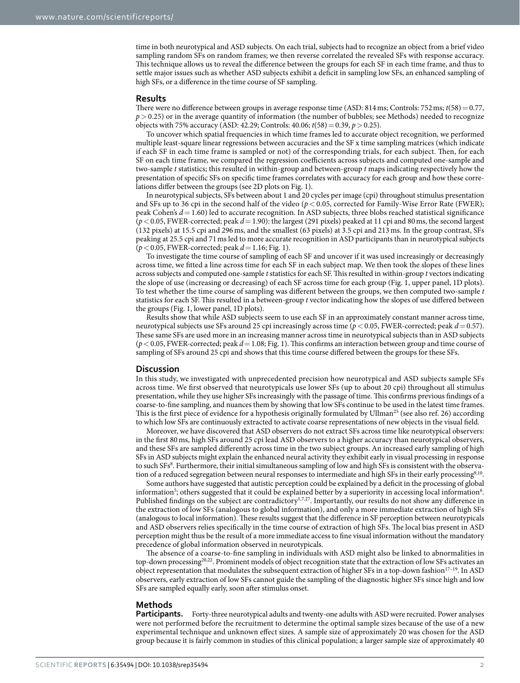time in both neurotypical and ASD subjects. On each trial, subjects had to recognize an object from a brief video sampling random SFs on random frames; we then reverse correlated the revealed SFs with response accuracy. This technique allows us to reveal the difference between the groups for each SF in each time frame, and thus to settle major issues such as whether ASD subjects exhibit a deficit in sampling low SFs, an enhanced sampling of high SFs, or a difference in the time course of SF sampling.

#### **Results**

There were no difference between groups in average response time (ASD: 814 ms; Controls: 752 ms; *t*(58) = 0.77, *p* > 0.25) or in the average quantity of information (the number of bubbles; see Methods) needed to recognize objects with 75% accuracy (ASD: 42.29; Controls: 40.06; *t*(58)=0.39, *p*>0.25).

To uncover which spatial frequencies in which time frames led to accurate object recognition, we performed multiple least-square linear regressions between accuracies and the SF x time sampling matrices (which indicate if each SF in each time frame is sampled or not) of the corresponding trials, for each subject. Then, for each SF on each time frame, we compared the regression coefficients across subjects and computed one-sample and two-sample *t* statistics; this resulted in within-group and between-group *t* maps indicating respectively how the presentation of specific SFs on specific time frames correlates with accuracy for each group and how these correlations differ between the groups (see 2D plots on [Fig. 1](#page-2-0)).

In neurotypical subjects, SFs between about 1 and 20 cycles per image (cpi) throughout stimulus presentation and SFs up to 36 cpi in the second half of the video (*p*< 0.05, corrected for Family-Wise Error Rate (FWER); peak Cohen's *d*= 1.60) led to accurate recognition. In ASD subjects, three blobs reached statistical significance (*p*<0.05, FWER-corrected; peak *d*=1.90): the largest (291 pixels) peaked at 11 cpi and 80ms, the second largest (132 pixels) at 15.5 cpi and 296ms, and the smallest (63 pixels) at 3.5 cpi and 213ms. In the group contrast, SFs peaking at 25.5 cpi and 71ms led to more accurate recognition in ASD participants than in neurotypical subjects (*p*<0.05, FWER-corrected; peak *d*=1.16; [Fig. 1](#page-2-0)).

To investigate the time course of sampling of each SF and uncover if it was used increasingly or decreasingly across time, we fitted a line across time for each SF in each subject map. We then took the slopes of these lines across subjects and computed one-sample *t* statistics for each SF. This resulted in within-group *t* vectors indicating the slope of use (increasing or decreasing) of each SF across time for each group ([Fig. 1,](#page-2-0) upper panel, 1D plots). To test whether the time course of sampling was different between the groups, we then computed two-sample *t* statistics for each SF. This resulted in a between-group *t* vector indicating how the slopes of use differed between the groups [\(Fig. 1](#page-2-0), lower panel, 1D plots).

Results show that while ASD subjects seem to use each SF in an approximately constant manner across time, neurotypical subjects use SFs around 25 cpi increasingly across time (*p*<0.05, FWER-corrected; peak *d*=0.57). These same SFs are used more in an increasing manner across time in neurotypical subjects than in ASD subjects (*p*< 0.05, FWER-corrected; peak *d*= 1.08; [Fig. 1\)](#page-2-0). This confirms an interaction between group and time course of sampling of SFs around 25 cpi and shows that this time course differed between the groups for these SFs.

#### **Discussion**

In this study, we investigated with unprecedented precision how neurotypical and ASD subjects sample SFs across time. We first observed that neurotypicals use lower SFs (up to about 20 cpi) throughout all stimulus presentation, while they use higher SFs increasingly with the passage of time. This confirms previous findings of a coarse-to-fine sampling, and nuances them by showing that low SFs continue to be used in the latest time frames. This is the first piece of evidence for a hypothesis originally formulated by Ullman<sup>[25](#page-5-1)</sup> (see also ref. [26\)](#page-5-2) according to which low SFs are continuously extracted to activate coarse representations of new objects in the visual field.

Moreover, we have discovered that ASD observers do not extract SFs across time like neurotypical observers: in the first 80ms, high SFs around 25 cpi lead ASD observers to a higher accuracy than neurotypical observers, and these SFs are sampled differently across time in the two subject groups. An increased early sampling of high SFs in ASD subjects might explain the enhanced neural activity they exhibit early in visual processing in response to such SF[s8](#page-4-5) . Furthermore, their initial simultaneous sampling of low and high SFs is consistent with the observa-tion of a reduced segregation between neural responses to intermediate and high SFs in their early processing<sup>[9,](#page-4-6)10</sup>.

Some authors have suggested that autistic perception could be explained by a deficit in the processing of global information<sup>5</sup>; others suggested that it could be explained better by a superiority in accessing local information<sup>[6](#page-4-3)</sup>. Published findings on the subject are contradictory<sup>1[,7](#page-4-4),[27](#page-5-3)</sup>. Importantly, our results do not show any difference in the extraction of low SFs (analogous to global information), and only a more immediate extraction of high SFs (analogous to local information). These results suggest that the difference in SF perception between neurotypicals and ASD observers relies specifically in the time course of extraction of high SFs. The local bias present in ASD perception might thus be the result of a more immediate access to fine visual information without the mandatory precedence of global information observed in neurotypicals.

The absence of a coarse-to-fine sampling in individuals with ASD might also be linked to abnormalities in top-down processing[20](#page-4-15),[22](#page-5-4). Prominent models of object recognition state that the extraction of low SFs activates an object representation that modulates the subsequent extraction of higher SFs in a top-down fashion $17-19$ . In ASD observers, early extraction of low SFs cannot guide the sampling of the diagnostic higher SFs since high and low SFs are sampled equally early, soon after stimulus onset.

#### **Methods**

**Participants.** Forty-three neurotypical adults and twenty-one adults with ASD were recruited. Power analyses were not performed before the recruitment to determine the optimal sample sizes because of the use of a new experimental technique and unknown effect sizes. A sample size of approximately 20 was chosen for the ASD group because it is fairly common in studies of this clinical population; a larger sample size of approximately 40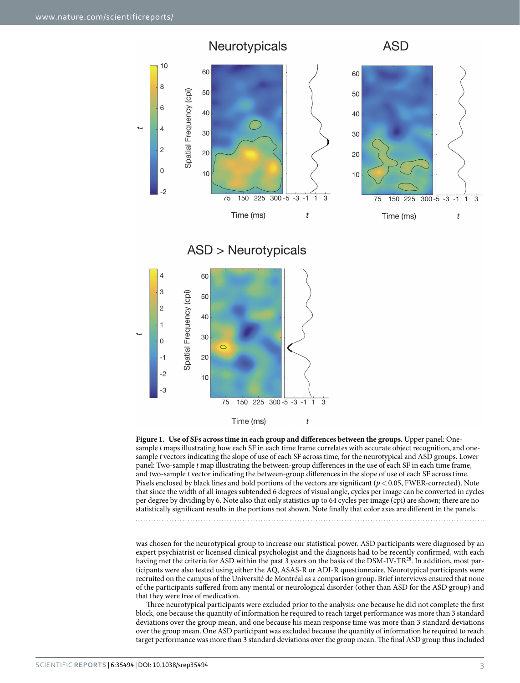

<span id="page-2-0"></span>

was chosen for the neurotypical group to increase our statistical power. ASD participants were diagnosed by an expert psychiatrist or licensed clinical psychologist and the diagnosis had to be recently confirmed, with each having met the criteria for ASD within the past 3 years on the basis of the DSM-IV-TR<sup>[28](#page-5-5)</sup>. In addition, most participants were also tested using either the AQ, ASAS-R or ADI-R questionnaire. Neurotypical participants were recruited on the campus of the Université de Montréal as a comparison group. Brief interviews ensured that none of the participants suffered from any mental or neurological disorder (other than ASD for the ASD group) and that they were free of medication.

Three neurotypical participants were excluded prior to the analysis: one because he did not complete the first block, one because the quantity of information he required to reach target performance was more than 3 standard deviations over the group mean, and one because his mean response time was more than 3 standard deviations over the group mean. One ASD participant was excluded because the quantity of information he required to reach target performance was more than 3 standard deviations over the group mean. The final ASD group thus included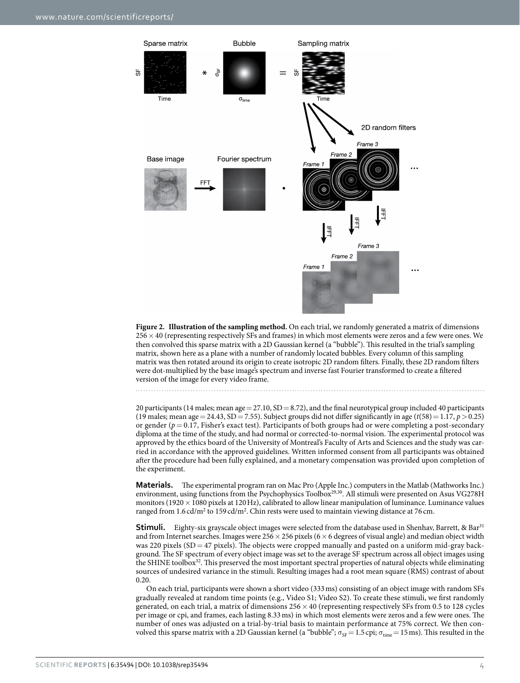

<span id="page-3-0"></span>**Figure 2. Illustration of the sampling method.** On each trial, we randomly generated a matrix of dimensions 256×40 (representing respectively SFs and frames) in which most elements were zeros and a few were ones. We then convolved this sparse matrix with a 2D Gaussian kernel (a "bubble"). This resulted in the trial's sampling matrix, shown here as a plane with a number of randomly located bubbles. Every column of this sampling matrix was then rotated around its origin to create isotropic 2D random filters. Finally, these 2D random filters were dot-multiplied by the base image's spectrum and inverse fast Fourier transformed to create a filtered version of the image for every video frame.

20 participants (14 males; mean age =  $27.10$ , SD =  $8.72$ ), and the final neurotypical group included 40 participants (19 males; mean age = 24.43, SD = 7.55). Subject groups did not differ significantly in age ( $t(58)$  = 1.17,  $p > 0.25$ ) or gender ( $p = 0.17$ , Fisher's exact test). Participants of both groups had or were completing a post-secondary diploma at the time of the study, and had normal or corrected-to-normal vision. The experimental protocol was approved by the ethics board of the University of Montreal's Faculty of Arts and Sciences and the study was carried in accordance with the approved guidelines. Written informed consent from all participants was obtained after the procedure had been fully explained, and a monetary compensation was provided upon completion of the experiment.

**Materials.** The experimental program ran on Mac Pro (Apple Inc.) computers in the Matlab (Mathworks Inc.) environment, using functions from the Psychophysics Toolbox<sup>29[,30](#page-5-7)</sup>. All stimuli were presented on Asus VG278H monitors (1920  $\times$  1080 pixels at 120 Hz), calibrated to allow linear manipulation of luminance. Luminance values ranged from  $1.6$  cd/m<sup>2</sup> to  $159$  cd/m<sup>2</sup>. Chin rests were used to maintain viewing distance at 76 cm.

**Stimuli.** Eighty-six grayscale object images were selected from the database used in Shenhav, Barrett, & Bar<sup>31</sup> and from Internet searches. Images were  $256 \times 256$  pixels (6  $\times$  6 degrees of visual angle) and median object width was 220 pixels (SD = 47 pixels). The objects were cropped manually and pasted on a uniform mid-gray background. The SF spectrum of every object image was set to the average SF spectrum across all object images using the SHINE toolbox<sup>32</sup>. This preserved the most important spectral properties of natural objects while eliminating sources of undesired variance in the stimuli. Resulting images had a root mean square (RMS) contrast of about 0.20.

On each trial, participants were shown a short video (333ms) consisting of an object image with random SFs gradually revealed at random time points (e.g., Video S1; Video S2). To create these stimuli, we first randomly generated, on each trial, a matrix of dimensions 256× 40 (representing respectively SFs from 0.5 to 128 cycles per image or cpi, and frames, each lasting 8.33ms) in which most elements were zeros and a few were ones. The number of ones was adjusted on a trial-by-trial basis to maintain performance at 75% correct. We then convolved this sparse matrix with a 2D Gaussian kernel (a "bubble";  $\sigma_{SF}=1.5$  cpi;  $\sigma_{time}=15$  ms). This resulted in the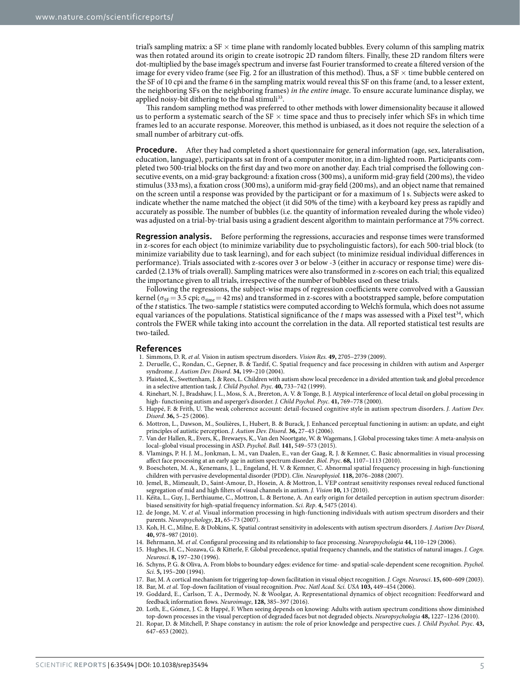trial's sampling matrix: a  $SF \times$  time plane with randomly located bubbles. Every column of this sampling matrix was then rotated around its origin to create isotropic 2D random filters. Finally, these 2D random filters were dot-multiplied by the base image's spectrum and inverse fast Fourier transformed to create a filtered version of the image for every video frame (see [Fig. 2](#page-3-0) for an illustration of this method). Thus, a SF  $\times$  time bubble centered on the SF of 10 cpi and the frame 6 in the sampling matrix would reveal this SF on this frame (and, to a lesser extent, the neighboring SFs on the neighboring frames) *in the entire image*. To ensure accurate luminance display, we applied noisy-bit dithering to the final stimuli<sup>33</sup>.

This random sampling method was preferred to other methods with lower dimensionality because it allowed us to perform a systematic search of the SF  $\times$  time space and thus to precisely infer which SFs in which time frames led to an accurate response. Moreover, this method is unbiased, as it does not require the selection of a small number of arbitrary cut-offs.

**Procedure.** After they had completed a short questionnaire for general information (age, sex, lateralisation, education, language), participants sat in front of a computer monitor, in a dim-lighted room. Participants completed two 500-trial blocks on the first day and two more on another day. Each trial comprised the following consecutive events, on a mid-gray background: a fixation cross (300ms), a uniform mid-gray field (200ms), the video stimulus (333ms), a fixation cross (300ms), a uniform mid-gray field (200ms), and an object name that remained on the screen until a response was provided by the participant or for a maximum of 1 s. Subjects were asked to indicate whether the name matched the object (it did 50% of the time) with a keyboard key press as rapidly and accurately as possible. The number of bubbles (i.e. the quantity of information revealed during the whole video) was adjusted on a trial-by-trial basis using a gradient descent algorithm to maintain performance at 75% correct.

**Regression analysis.** Before performing the regressions, accuracies and response times were transformed in z-scores for each object (to minimize variability due to psycholinguistic factors), for each 500-trial block (to minimize variability due to task learning), and for each subject (to minimize residual individual differences in performance). Trials associated with z-scores over 3 or below -3 (either in accuracy or response time) were discarded (2.13% of trials overall). Sampling matrices were also transformed in z-scores on each trial; this equalized the importance given to all trials, irrespective of the number of bubbles used on these trials.

Following the regressions, the subject-wise maps of regression coefficients were convolved with a Gaussian kernel ( $\sigma_{SF}=3.5$  cpi;  $\sigma_{time}=42$  ms) and transformed in z-scores with a bootstrapped sample, before computation of the *t* statistics. The two-sample *t* statistics were computed according to Welch's formula, which does not assume equal variances of the populations. Statistical significance of the  $t$  maps was assessed with a Pixel test<sup>34</sup>, which controls the FWER while taking into account the correlation in the data. All reported statistical test results are two-tailed.

#### **References**

- <span id="page-4-0"></span>1. Simmons, D. R. *et al.* Vision in autism spectrum disorders. *Vision Res.* **49,** 2705–2739 (2009).
- <span id="page-4-1"></span>2. Deruelle, C., Rondan, C., Gepner, B. & Tardif, C. Spatial frequency and face processing in children with autism and Asperger syndrome. *J. Autism Dev. Disord*. **34,** 199–210 (2004).
- 3. Plaisted, K., Swettenham, J. & Rees, L. Children with autism show local precedence in a divided attention task and global precedence in a selective attention task. *J. Child Psychol. Psyc*. **40,** 733–742 (1999).
- 4. Rinehart, N. J., Bradshaw, J. L., Moss, S. A., Brereton, A. V. & Tonge, B. J. Atypical interference of local detail on global processing in high- functioning autism and asperger's disorder. *J. Child Psychol. Psyc*. **41,** 769–778 (2000).
- <span id="page-4-2"></span>5. Happé, F. & Frith, U. The weak coherence account: detail-focused cognitive style in autism spectrum disorders. *J. Autism Dev. Disord*. **36,** 5–25 (2006).
- <span id="page-4-3"></span>6. Mottron, L., Dawson, M., Soulières, I., Hubert, B. & Burack, J. Enhanced perceptual functioning in autism: an update, and eight principles of autistic perception. *J. Autism Dev. Disord*. **36,** 27–43 (2006).
- <span id="page-4-4"></span>7. Van der Hallen, R., Evers, K., Brewaeys, K., Van den Noortgate, W. & Wagemans, J. Global processing takes time: A meta-analysis on local–global visual processing in ASD. *Psychol. Bull.* **141,** 549–573 (2015).
- <span id="page-4-5"></span>8. Vlamings, P. H. J. M., Jonkman, L. M., van Daalen, E., van der Gaag, R. J. & Kemner, C. Basic abnormalities in visual processing affect face processing at an early age in autism spectrum disorder. *Biol. Psyc*. **68,** 1107–1113 (2010).
- <span id="page-4-6"></span>9. Boeschoten, M. A., Kenemans, J. L., Engeland, H. V. & Kemner, C. Abnormal spatial frequency processing in high-functioning children with pervasive developmental disorder (PDD). *Clin. Neurophysiol.* **118,** 2076–2088 (2007).
- <span id="page-4-7"></span>10. Jemel, B., Mimeault, D., Saint-Amour, D., Hosein, A. & Mottron, L. VEP contrast sensitivity responses reveal reduced functional segregation of mid and high filters of visual channels in autism. *J. Vision* **10,** 13 (2010).
- <span id="page-4-8"></span>11. Kéïta, L., Guy, J., Berthiaume, C., Mottron, L. & Bertone, A. An early origin for detailed perception in autism spectrum disorder: biased sensitivity for high-spatial frequency information. *Sci. Rep*. **4,** 5475 (2014).
- <span id="page-4-9"></span>12. de Jonge, M. V. *et al.* Visual information processing in high-functioning individuals with autism spectrum disorders and their parents. *Neuropsychology*, **21,** 65–73 (2007).
- <span id="page-4-10"></span>13. Koh, H. C., Milne, E. & Dobkins, K. Spatial contrast sensitivity in adolescents with autism spectrum disorders. *J. Autism Dev Disord*, **40,** 978–987 (2010).
- <span id="page-4-12"></span><span id="page-4-11"></span>14. Behrmann, M. *et al.* Configural processing and its relationship to face processing. *Neuropsychologia* **44,** 110–129 (2006).
- 15. Hughes, H. C., Nozawa, G. & Kitterle, F. Global precedence, spatial frequency channels, and the statistics of natural images. *J. Cogn. Neurosci*. **8,** 197–230 (1996).
- <span id="page-4-13"></span>16. Schyns, P. G. & Oliva, A. From blobs to boundary edges: evidence for time- and spatial-scale-dependent scene recognition. *Psychol. Sci.* **5,** 195–200 (1994).
- <span id="page-4-14"></span>17. Bar, M. A cortical mechanism for triggering top-down facilitation in visual object recognition. *J. Cogn. Neurosci*. **15,** 600–609 (2003).
- 18. Bar, M. *et al.* Top-down facilitation of visual recognition. *Proc. Natl Acad. Sci. USA* **103,** 449–454 (2006).
- 19. Goddard, E., Carlson, T. A., Dermody, N. & Woolgar, A. Representational dynamics of object recognition: Feedforward and feedback information flows. *Neuroimage*, **128,** 385–397 (2016).
- <span id="page-4-15"></span>20. Loth, E., Gómez, J. C. & Happé, F. When seeing depends on knowing: Adults with autism spectrum conditions show diminished top-down processes in the visual perception of degraded faces but not degraded objects. *Neuropsychologia* **48,** 1227–1236 (2010).
- 21. Ropar, D. & Mitchell, P. Shape constancy in autism: the role of prior knowledge and perspective cues. *J. Child Psychol. Psyc*. **43,** 647–653 (2002).